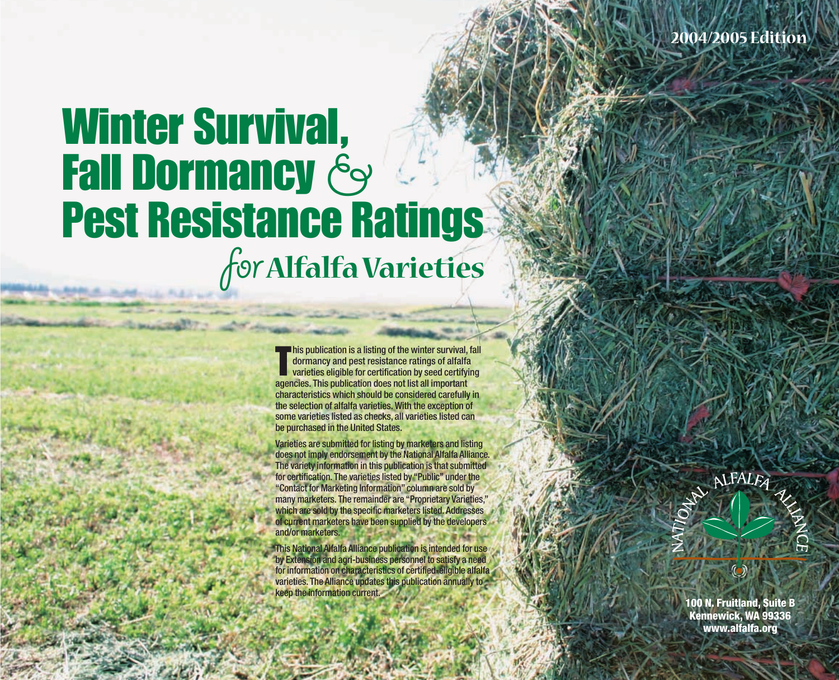# Winter Survival, **Fall Dormancy &** Pest Resistance Ratings for**Alfalfa Varieties**

Ū **his publication is a listing of the winter survival, fall** dormancy and pest resistance ratings of alfalfa varieties eligible for certification by seed certifying agencies. This publication does not list all important characteristics which should be considered carefully in the selection of alfalfa varieties. With the exception of some varieties listed as checks, all varieties listed can be purchased in the United States.

Varieties are submitted for listing by marketers and listing does not imply endorsement by the National Alfalfa Alliance. The variety information in this publication is that submitted for certification. The varieties listed by "Public" under the "Contact for Marketing Information" column are sold by many marketers. The remainder are "Proprietary Varieties," which are sold by the specific marketers listed. Addresses of current marketers have been supplied by the developers and/or marketers.

This National Alfalfa Alliance publication is intended for use by Extension and agri-business personnel to satisfy a need for information on characteristics of certified-eligible alfalfa varieties. The Alliance updates this publication annually to keep the information current.

ALFALEA

**100 N. Fruitland, Suite B Kennewick, WA 99336 www.alfalfa.org**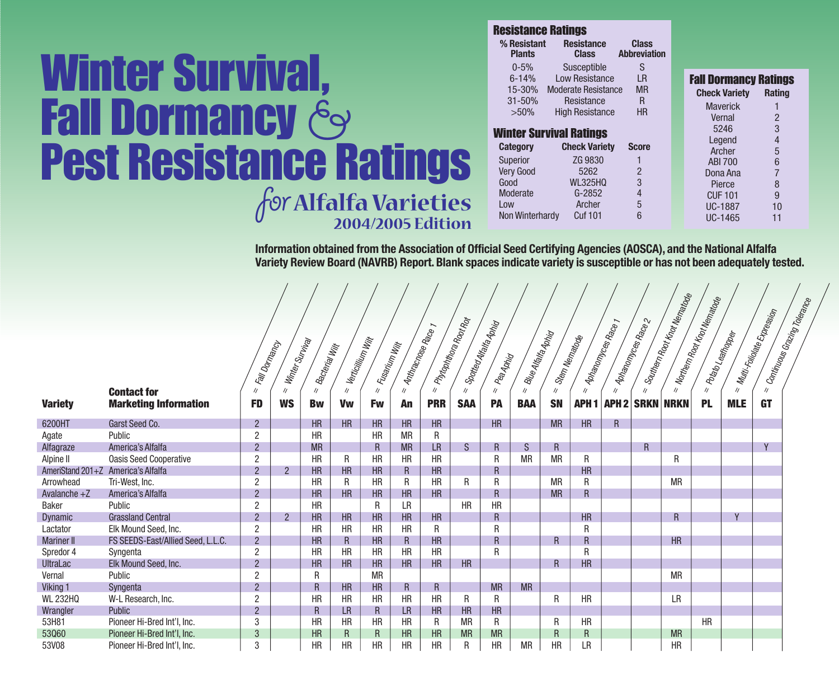# Winter Survival, **Fall Dormancy &** Pest Resistance Ratings for**Alfalfa Varieties 2004/2005 Edition**

| <b>Resistance Ratings</b>    |                                   |                                     |                              |                |
|------------------------------|-----------------------------------|-------------------------------------|------------------------------|----------------|
| % Resistant<br><b>Plants</b> | <b>Resistance</b><br><b>Class</b> | <b>Class</b><br><b>Abbreviation</b> |                              |                |
| $0 - 5%$                     | Susceptible                       | S                                   |                              |                |
| $6 - 14%$                    | Low Resistance                    | LR                                  | <b>Fall Dormancy Ratings</b> |                |
| 15-30%                       | <b>Moderate Resistance</b>        | <b>MR</b>                           | <b>Check Variety</b>         | <b>Rating</b>  |
| 31-50%                       | Resistance                        | R                                   | <b>Maverick</b>              |                |
| $>50\%$                      | <b>High Resistance</b>            | <b>HR</b>                           | Vernal                       | $\overline{2}$ |
|                              | <b>Winter Survival Ratings</b>    |                                     | 5246                         | 3              |
|                              |                                   |                                     | Legend                       | 4              |
| <b>Category</b>              | <b>Check Variety</b>              | <b>Score</b>                        | Archer                       | 5              |
| <b>Superior</b>              | ZG 9830                           |                                     | <b>ABI 700</b>               | 6              |
| <b>Verv Good</b>             | 5262                              | $\overline{2}$                      | Dona Ana                     | $\overline{7}$ |
| Good                         | <b>WL325HQ</b>                    | 3                                   | Pierce                       | 8              |
| Moderate                     | $G-2852$                          | 4                                   | <b>CUF101</b>                | 9              |
| Low                          | Archer                            | 5                                   | <b>UC-1887</b>               | 10             |
| Non Winterhardy              | <b>Cuf 101</b>                    | 6                                   | UC-1465                      | 11             |

**Information obtained from the Association of Official Seed Certifying Agencies (AOSCA), and the National Alfalfa Variety Review Board (NAVRB) Report. Blank spaces indicate variety is susceptible or has not been adequately tested.**

|                                    |                                   |                |                 |                |                   |                |              |                      |                         |                      |                    |                |                |                    |                      | - Southern Root Knot Menatole | = Northern Root Krot Nematoge |                | egleson duga de samuno .   |  |
|------------------------------------|-----------------------------------|----------------|-----------------|----------------|-------------------|----------------|--------------|----------------------|-------------------------|----------------------|--------------------|----------------|----------------|--------------------|----------------------|-------------------------------|-------------------------------|----------------|----------------------------|--|
|                                    |                                   |                |                 |                |                   |                |              |                      | : Phrophitiona Root Rot | Sportegy Matta Apira |                    |                |                |                    | - Aphanomyces Race 2 |                               |                               |                | = Mult:Foiloate Expression |  |
|                                    |                                   |                | Winter Survival |                | Verticillium Wilf |                |              | - Anthrachose Race 1 |                         |                      | Blue Alfalfa Aphig |                | Stem Nematode  | Aphanonyces Race 1 |                      |                               | Polato Leafflopper            |                |                            |  |
|                                    |                                   | Fall Domancy   |                 | Bacterial Will |                   | Fusarium Willy |              |                      |                         |                      |                    |                |                |                    |                      |                               |                               |                |                            |  |
|                                    |                                   |                |                 |                |                   |                |              |                      |                         | Pea <sub>Aphid</sub> |                    |                |                |                    |                      |                               |                               |                |                            |  |
|                                    | <b>Contact for</b>                | $\frac{1}{2}$  | $\eta$          | $\prime$       | $\frac{1}{2}$     | $\frac{1}{2}$  | $\prime$     | $\prime$             | $\prime$                | $\prime$             | $\frac{1}{2}$      | $\prime\prime$ | $\frac{1}{2}$  | $\prime\prime$     | $\prime$             | $\prime$                      | $\frac{1}{2}$                 | $\prime\prime$ | $\frac{1}{2}$              |  |
| <b>Variety</b>                     | <b>Marketing Information</b>      | <b>FD</b>      | <b>WS</b>       | <b>Bw</b>      | <b>Vw</b>         | <b>Fw</b>      | An           | <b>PRR</b>           | <b>SAA</b>              | <b>PA</b>            | <b>BAA</b>         | <b>SN</b>      | <b>APH1</b>    | <b>APH2</b>        | <b>SRKN</b>          | <b>NRKN</b>                   | <b>PL</b>                     | <b>MLE</b>     | <b>GT</b>                  |  |
|                                    |                                   |                |                 |                |                   |                |              |                      |                         |                      |                    |                |                |                    |                      |                               |                               |                |                            |  |
| 6200HT                             | Garst Seed Co.                    | $\overline{2}$ |                 | <b>HR</b>      | HR                | HR             | HR           | HR                   |                         | HR                   |                    | <b>MR</b>      | <b>HR</b>      | $\overline{R}$     |                      |                               |                               |                |                            |  |
| Agate                              | Public                            | $\overline{2}$ |                 | <b>HR</b>      |                   | <b>HR</b>      | <b>MR</b>    | R                    |                         |                      |                    |                |                |                    |                      |                               |                               |                |                            |  |
| Alfagraze                          | America's Alfalfa                 | $\overline{2}$ |                 | <b>MR</b>      |                   | $\mathsf{R}$   | <b>MR</b>    | <b>LR</b>            | S.                      | $\mathsf{R}$         | S.                 | R.             |                |                    | R                    |                               |                               |                | Y                          |  |
| Alpine II                          | <b>Oasis Seed Cooperative</b>     | $\overline{2}$ |                 | <b>HR</b>      | R                 | <b>HR</b>      | <b>HR</b>    | HR                   |                         | R                    | <b>MR</b>          | <b>MR</b>      | R              |                    |                      | $\mathsf{R}$                  |                               |                |                            |  |
| AmeriStand 201+Z America's Alfalfa |                                   | $\overline{2}$ | $\overline{2}$  | <b>HR</b>      | HR                | HR             | $\mathsf{R}$ | HR                   |                         | $\mathsf{R}$         |                    |                | <b>HR</b>      |                    |                      |                               |                               |                |                            |  |
| Arrowhead                          | Tri-West, Inc.                    | $\overline{2}$ |                 | <b>HR</b>      | R                 | <b>HR</b>      | R            | HR                   | R                       | R                    |                    | <b>MR</b>      | R              |                    |                      | <b>MR</b>                     |                               |                |                            |  |
| Avalanche $+Z$                     | America's Alfalfa                 | $\mathcal{P}$  |                 | <b>HR</b>      | HR                | <b>HR</b>      | HR           | HR                   |                         | $\overline{R}$       |                    | <b>MR</b>      | R              |                    |                      |                               |                               |                |                            |  |
| Baker                              | Public                            | $\overline{2}$ |                 | <b>HR</b>      |                   | R              | LR           |                      | <b>HR</b>               | <b>HR</b>            |                    |                |                |                    |                      |                               |                               |                |                            |  |
| <b>Dynamic</b>                     | <b>Grassland Central</b>          | $\overline{2}$ | $2^{\circ}$     | <b>HR</b>      | HR                | HR             | HR           | HR                   |                         | $\mathsf{R}$         |                    |                | <b>HR</b>      |                    |                      | R                             |                               | $\overline{V}$ |                            |  |
| Lactator                           | Elk Mound Seed, Inc.              | 2              |                 | <b>HR</b>      | <b>HR</b>         | <b>HR</b>      | <b>HR</b>    | R                    |                         | R                    |                    |                | R              |                    |                      |                               |                               |                |                            |  |
| <b>Mariner II</b>                  | FS SEEDS-East/Allied Seed, L.L.C. | $\overline{2}$ |                 | <b>HR</b>      | $\mathsf{R}$      | HR             | $\mathsf{R}$ | HR                   |                         | $\mathsf{R}$         |                    | R.             | R              |                    |                      | HR                            |                               |                |                            |  |
| Spredor 4                          | Syngenta                          | $\overline{2}$ |                 | <b>HR</b>      | <b>HR</b>         | <b>HR</b>      | HR           | HR                   |                         | R                    |                    |                | R              |                    |                      |                               |                               |                |                            |  |
| <b>UltraLac</b>                    | Elk Mound Seed, Inc.              | $\overline{2}$ |                 | <b>HR</b>      | HR                | HR             | <b>HR</b>    | HR                   | HR                      |                      |                    | R.             | <b>HR</b>      |                    |                      |                               |                               |                |                            |  |
| Vernal                             | Public                            | $\overline{2}$ |                 | R              |                   | <b>MR</b>      |              |                      |                         |                      |                    |                |                |                    |                      | <b>MR</b>                     |                               |                |                            |  |
| Viking 1                           | Syngenta                          | $\overline{2}$ |                 | R.             | HR                | HR             | $\mathsf{R}$ | $\mathsf{R}$         |                         | <b>MR</b>            | <b>MR</b>          |                |                |                    |                      |                               |                               |                |                            |  |
| <b>WL 232HQ</b>                    | W-L Research, Inc.                | $\overline{2}$ |                 | <b>HR</b>      | <b>HR</b>         | <b>HR</b>      | <b>HR</b>    | <b>HR</b>            | R                       | R                    |                    | $\mathsf{R}$   | <b>HR</b>      |                    |                      | LR                            |                               |                |                            |  |
| Wrangler                           | <b>Public</b>                     | $\overline{2}$ |                 | R              | <b>LR</b>         | $\mathsf{R}$   | <b>LR</b>    | HR                   | <b>HR</b>               | <b>HR</b>            |                    |                |                |                    |                      |                               |                               |                |                            |  |
| 53H81                              | Pioneer Hi-Bred Int'l, Inc.       | 3              |                 | HR             | <b>HR</b>         | <b>HR</b>      | HR           | R                    | <b>MR</b>               | R                    |                    | R              | HR             |                    |                      |                               | <b>HR</b>                     |                |                            |  |
| 53Q60                              | Pioneer Hi-Bred Int'l, Inc.       | 3              |                 | <b>HR</b>      | $\mathsf{R}$      | R.             | <b>HR</b>    | <b>HR</b>            | <b>MR</b>               | <b>MR</b>            |                    | R.             | $\overline{R}$ |                    |                      | <b>MR</b>                     |                               |                |                            |  |
| 53V08                              | Pioneer Hi-Bred Int'l, Inc.       | 3              |                 | <b>HR</b>      | HR                | <b>HR</b>      | HR           | <b>HR</b>            | R                       | HR                   | <b>MR</b>          | HR             | LR             |                    |                      | HR                            |                               |                |                            |  |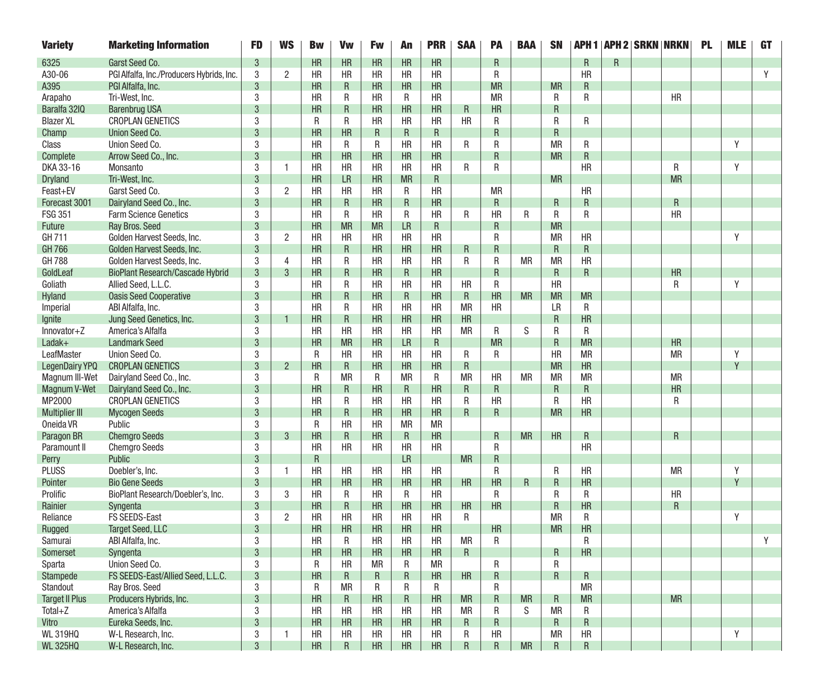| <b>Variety</b>        | <b>Marketing Information</b>              | <b>FD</b>      | <b>WS</b>      | <b>Bw</b>    | <b>Vw</b>    | <b>Fw</b>    | An        | <b>PRR</b> | <b>SAA</b>  | PA              | <b>BAA</b> | <b>SN</b> |                 |   | <b>APH 1   APH 2   SRKN   NRKN</b> |           | <b>PL</b> | <b>MLE</b> | <b>GT</b> |
|-----------------------|-------------------------------------------|----------------|----------------|--------------|--------------|--------------|-----------|------------|-------------|-----------------|------------|-----------|-----------------|---|------------------------------------|-----------|-----------|------------|-----------|
| 6325                  | Garst Seed Co.                            | 3              |                | <b>HR</b>    | <b>HR</b>    | HR           | HR        | HR         |             | R               |            |           | R               | R |                                    |           |           |            |           |
| A30-06                | PGI Alfalfa, Inc./Producers Hybrids, Inc. | 3              | $\overline{2}$ | HR           | <b>HR</b>    | <b>HR</b>    | <b>HR</b> | <b>HR</b>  |             | R               |            |           | HR              |   |                                    |           |           |            | Y         |
| A395                  | PGI Alfalfa, Inc.                         | 3              |                | <b>HR</b>    | R            | HR           | HR        | HR         |             | <b>MR</b>       |            | <b>MR</b> | R               |   |                                    |           |           |            |           |
| Arapaho               | Tri-West, Inc.                            | 3              |                | <b>HR</b>    | R            | <b>HR</b>    | R         | HR         |             | <b>MR</b>       |            | R         | R               |   |                                    | <b>HR</b> |           |            |           |
| Baralfa 32IQ          | <b>Barenbrug USA</b>                      | 3              |                | <b>HR</b>    | $\mathsf{R}$ | HR           | HR        | HR         | R           | <b>HR</b>       |            | R         |                 |   |                                    |           |           |            |           |
| <b>Blazer XL</b>      | <b>CROPLAN GENETICS</b>                   | 3              |                | R            | R            | <b>HR</b>    | <b>HR</b> | HR         | <b>HR</b>   | R               |            | R         | R               |   |                                    |           |           |            |           |
| Champ                 | Union Seed Co.                            | 3              |                | HR           | HR           | R            | R         | R          |             | R               |            | R         |                 |   |                                    |           |           |            |           |
| Class                 | Union Seed Co.                            | 3              |                | <b>HR</b>    | R            | R            | <b>HR</b> | HR         | R           | R               |            | <b>MR</b> | R               |   |                                    |           |           | Y          |           |
| Complete              | Arrow Seed Co., Inc.                      | 3              |                | HR           | HR           | HR           | HR        | HR         |             | R               |            | <b>MR</b> | $\mathsf{R}$    |   |                                    |           |           |            |           |
| DKA 33-16             | Monsanto                                  | 3              | 1              | HR           | HR           | HR           | <b>HR</b> | HR         | R           | R               |            |           | HR              |   |                                    | R         |           | Y          |           |
| <b>Dryland</b>        | Tri-West, Inc.                            | 3              |                | <b>HR</b>    | <b>LR</b>    | HR           | <b>MR</b> | R          |             |                 |            | <b>MR</b> |                 |   |                                    | <b>MR</b> |           |            |           |
| Feast+EV              | Garst Seed Co.                            | 3              | $\overline{2}$ | <b>HR</b>    | HR           | <b>HR</b>    | R         | HR         |             | <b>MR</b>       |            |           | HR              |   |                                    |           |           |            |           |
| Forecast 3001         | Dairyland Seed Co., Inc.                  | 3              |                | HR           | $\mathsf{R}$ | HR           | R         | HR         |             | R               |            | R         | $\mathsf{R}$    |   |                                    | R         |           |            |           |
| <b>FSG 351</b>        | <b>Farm Science Genetics</b>              | 3              |                | HR           | R            | HR           | R         | HR         | R           | <b>HR</b>       | R          | R         | R               |   |                                    | <b>HR</b> |           |            |           |
| Future                | Ray Bros. Seed                            | 3              |                | <b>HR</b>    | <b>MR</b>    | <b>MR</b>    | LR        | R          |             | R               |            | <b>MR</b> |                 |   |                                    |           |           |            |           |
| GH 711                | Golden Harvest Seeds, Inc.                | 3              | $\overline{2}$ | HR           | HR           | HR           | <b>HR</b> | HR         |             | R               |            | <b>MR</b> | <b>HR</b>       |   |                                    |           |           | Y          |           |
| GH 766                | Golden Harvest Seeds, Inc.                | 3              |                | <b>HR</b>    | $\mathsf{R}$ | HR           | HR        | HR         | R           | R               |            | R         | $\mathsf{R}$    |   |                                    |           |           |            |           |
| <b>GH788</b>          | Golden Harvest Seeds, Inc.                | 3              | 4              | HR           | R            | <b>HR</b>    | <b>HR</b> | HR         | R           | R               | <b>MR</b>  | <b>MR</b> | HR              |   |                                    |           |           |            |           |
| GoldLeaf              | <b>BioPlant Research/Cascade Hybrid</b>   | 3              | 3              | <b>HR</b>    | R            | <b>HR</b>    | R         | HR         |             | R               |            | R         | R               |   |                                    | <b>HR</b> |           |            |           |
| Goliath               | Allied Seed, L.L.C.                       | 3              |                | <b>HR</b>    | R            | <b>HR</b>    | <b>HR</b> | HR         | HR          | R               |            | HR        |                 |   |                                    | R         |           | Y          |           |
| Hyland                | <b>Oasis Seed Cooperative</b>             | $\mathbf{3}$   |                | HR           | $\mathsf{R}$ | HR           | R         | HR         | $\mathsf R$ | HR              | <b>MR</b>  | <b>MR</b> | <b>MR</b>       |   |                                    |           |           |            |           |
| Imperial              | ABI Alfalfa, Inc.                         | 3              |                | HR           | R            | HR           | <b>HR</b> | HR         | <b>MR</b>   | HR              |            | LR        | R               |   |                                    |           |           |            |           |
| Ignite                | Jung Seed Genetics, Inc.                  | 3              |                | <b>HR</b>    | R            | <b>HR</b>    | HR        | HR         | HR          |                 |            | R         | HR              |   |                                    |           |           |            |           |
| Innovator+Z           | America's Alfalfa                         | 3              |                | <b>HR</b>    | HR           | <b>HR</b>    | <b>HR</b> | HR         | <b>MR</b>   | R               | S          | R         | R               |   |                                    |           |           |            |           |
| Ladak+                | <b>Landmark Seed</b>                      | 3              |                | <b>HR</b>    | <b>MR</b>    | HR           | <b>LR</b> | R          |             | <b>MR</b>       |            | R         | <b>MR</b>       |   |                                    | <b>HR</b> |           |            |           |
| LeafMaster            | Union Seed Co.                            | 3              |                | $\mathsf{R}$ | HR           | HR           | <b>HR</b> | HR         | R           | R               |            | HR        | <b>MR</b>       |   |                                    | <b>MR</b> |           | Y          |           |
| LegenDairy YPQ        | <b>CROPLAN GENETICS</b>                   | 3              | $\overline{2}$ | <b>HR</b>    | R            | <b>HR</b>    | HR        | HR         | R           |                 |            | <b>MR</b> | <b>HR</b>       |   |                                    |           |           | V          |           |
| Magnum III-Wet        | Dairyland Seed Co., Inc.                  | 3              |                | R            | <b>MR</b>    | R            | <b>MR</b> | R          | <b>MR</b>   | HR              | <b>MR</b>  | <b>MR</b> | <b>MR</b>       |   |                                    | <b>MR</b> |           |            |           |
| Magnum V-Wet          | Dairyland Seed Co., Inc.                  | 3              |                | HR           | R            | HR           | R         | HR         | R           | R               |            | R         | $\mathsf{R}$    |   |                                    | HR        |           |            |           |
| MP2000                | <b>CROPLAN GENETICS</b>                   | 3              |                | <b>HR</b>    | R            | HR           | <b>HR</b> | <b>HR</b>  | R           | <b>HR</b>       |            | R         | HR              |   |                                    | R         |           |            |           |
| <b>Multiplier III</b> | <b>Mycogen Seeds</b>                      | 3              |                | <b>HR</b>    | R            | <b>HR</b>    | HR        | HR         | R           | R               |            | <b>MR</b> | <b>HR</b>       |   |                                    |           |           |            |           |
| Oneida VR             | Public                                    | 3              |                | R            | HR           | HR           | <b>MR</b> | <b>MR</b>  |             |                 |            |           |                 |   |                                    |           |           |            |           |
| Paragon BR            | <b>Chemgro Seeds</b>                      | 3              | 3              | <b>HR</b>    | $\mathsf{R}$ | HR           | R         | HR         |             | R               | <b>MR</b>  | HR        | R               |   |                                    | R         |           |            |           |
| Paramount II          | <b>Chemgro Seeds</b>                      | 3              |                | HR           | HR           | <b>HR</b>    | <b>HR</b> | HR         |             | R               |            |           | <b>HR</b>       |   |                                    |           |           |            |           |
| Perry                 | Public                                    | 3              |                | R            |              |              | <b>LR</b> |            | <b>MR</b>   | R               |            |           |                 |   |                                    |           |           |            |           |
| <b>PLUSS</b>          | Doebler's, Inc.                           | 3              | 1              | <b>HR</b>    | HR           | HR           | <b>HR</b> | HR         |             | R               |            | R         | HR              |   |                                    | <b>MR</b> |           | Y          |           |
| Pointer               | <b>Bio Gene Seeds</b>                     | 3              |                | HR           | <b>HR</b>    | HR           | HR        | HR         | HR          | HR              | R          | R         | <b>HR</b>       |   |                                    |           |           | Y          |           |
| Prolific              | BioPlant Research/Doebler's, Inc.         | 3              | 3              | HR           | R            | HR           | R         | HR         |             | R               |            | R         | R               |   |                                    | HR        |           |            |           |
| Rainier               | Syngenta                                  | 3              |                | HR           | R            | <b>HR</b>    | HR        | HR         | <b>HR</b>   | <b>HR</b>       |            | R         | HR              |   |                                    | R         |           |            |           |
| Reliance              | <b>FS SEEDS-East</b>                      | 3              | $\overline{2}$ | <b>HR</b>    | HR           | <b>HR</b>    | HR        | HR         | R           |                 |            | <b>MR</b> | R               |   |                                    |           |           | Y          |           |
| Rugged                | <b>Target Seed, LLC</b>                   | 3              |                | <b>HR</b>    | <b>HR</b>    | <b>HR</b>    | <b>HR</b> | <b>HR</b>  |             | HR              |            | <b>MR</b> | <b>HR</b>       |   |                                    |           |           |            |           |
| Samurai               | ABI Alfalfa, Inc.                         | 3              |                | HR           | R            | HR           | HR        | HR         | MR          | R               |            |           | R               |   |                                    |           |           |            |           |
| Somerset              | Syngenta                                  | $\overline{3}$ |                | HR           | HR           | HR           | HR        | HR         | R           |                 |            | R         | HR              |   |                                    |           |           |            |           |
| Sparta                | Union Seed Co.                            | 3              |                | R            | <b>HR</b>    | <b>MR</b>    | R         | <b>MR</b>  |             | R               |            | R         |                 |   |                                    |           |           |            |           |
| Stampede              | FS SEEDS-East/Allied Seed, L.L.C.         | $\mathbf{3}$   |                | HR           | $\mathsf{R}$ | $\mathsf{R}$ | R         | HR         | HR          | $\mathsf R$     |            | R         | $R_{\parallel}$ |   |                                    |           |           |            |           |
| Standout              | Ray Bros. Seed                            | 3              |                | R            | <b>MR</b>    | R            | R         | R          |             | R               |            |           | <b>MR</b>       |   |                                    |           |           |            |           |
| <b>Target II Plus</b> | Producers Hybrids, Inc.                   | $\mathbf{3}$   |                | HR           | $\mathsf{R}$ | HR           | R         | HR         | <b>MR</b>   | R               | <b>MR</b>  | R         | <b>MR</b>       |   |                                    | <b>MR</b> |           |            |           |
| Total+Z               | America's Alfalfa                         | 3              |                | HR           | <b>HR</b>    | <b>HR</b>    | <b>HR</b> | <b>HR</b>  | <b>MR</b>   | R               | S.         | MR        | R               |   |                                    |           |           |            |           |
| Vitro                 | Eureka Seeds, Inc.                        | $\mathbf{3}$   |                | HR           | HR           | HR           | HR        | HR         | R.          | R               |            | R         | $R_{\parallel}$ |   |                                    |           |           |            |           |
| <b>WL 319HQ</b>       | W-L Research, Inc.                        | 3              | $\mathbf{1}$   | HR           | HR           | HR           | HR        | HR         | R           | HR              |            | MR        | <b>HR</b>       |   |                                    |           |           | Y          |           |
| <b>WL 325HQ</b>       | W-L Research, Inc.                        | $\overline{3}$ |                | HR           | $\mathsf{R}$ | HR           | HR        | HR         | R.          | $R_{\parallel}$ | <b>MR</b>  | R         | R               |   |                                    |           |           |            |           |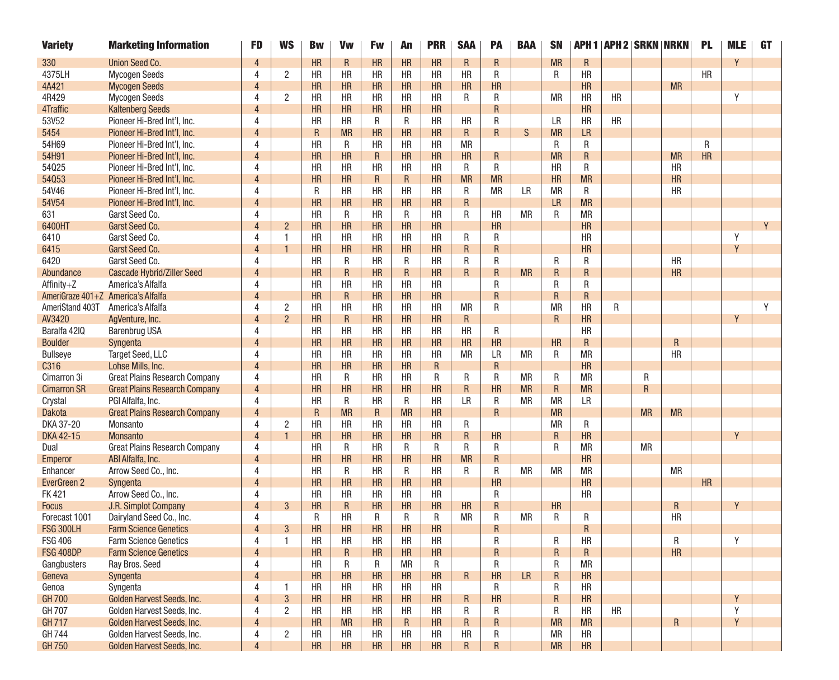| <b>Variety</b>                     | <b>Marketing Information</b>         | <b>FD</b>      | <b>WS</b>      | <b>Bw</b>    | Vw           | <b>Fw</b>    | An           | <b>PRR</b>   | <b>SAA</b>      | <b>PA</b> | <b>BAA</b> | <b>SN</b> |             | <b>APH 1   APH 2   SRKN   NRKN</b> |           |                | <b>PL</b> | <b>MLE</b> | <b>GT</b> |
|------------------------------------|--------------------------------------|----------------|----------------|--------------|--------------|--------------|--------------|--------------|-----------------|-----------|------------|-----------|-------------|------------------------------------|-----------|----------------|-----------|------------|-----------|
| 330                                | Union Seed Co.                       | 4              |                | <b>HR</b>    | $\mathsf{R}$ | HR           | <b>HR</b>    | HR           | R               | R         |            | <b>MR</b> | R           |                                    |           |                |           | Y          |           |
| 4375LH                             | <b>Mycogen Seeds</b>                 | 4              | 2              | <b>HR</b>    | <b>HR</b>    | HR           | <b>HR</b>    | <b>HR</b>    | <b>HR</b>       | R         |            | R         | <b>HR</b>   |                                    |           |                | <b>HR</b> |            |           |
| 4A421                              | <b>Mycogen Seeds</b>                 |                |                | HR           | <b>HR</b>    | HR           | HR           | HR           | HR              | <b>HR</b> |            |           | HR          |                                    |           | <b>MR</b>      |           |            |           |
| 4R429                              | <b>Mycogen Seeds</b>                 | 4              | 2              | <b>HR</b>    | <b>HR</b>    | HR           | <b>HR</b>    | <b>HR</b>    | R               | R         |            | <b>MR</b> | HR          | <b>HR</b>                          |           |                |           | Υ          |           |
| 4Traffic                           | <b>Kaltenberg Seeds</b>              | 4              |                | <b>HR</b>    | <b>HR</b>    | HR           | HR           | HR           |                 | R         |            |           | HR          |                                    |           |                |           |            |           |
| 53V52                              | Pioneer Hi-Bred Int'l, Inc.          | 4              |                | <b>HR</b>    | <b>HR</b>    | R            | R            | <b>HR</b>    | <b>HR</b>       | R         |            | LR        | <b>HR</b>   | <b>HR</b>                          |           |                |           |            |           |
| 5454                               | Pioneer Hi-Bred Int'l, Inc.          |                |                | $\mathsf{R}$ | <b>MR</b>    | HR           | HR           | HR           | R               | R         | S          | <b>MR</b> | <b>LR</b>   |                                    |           |                |           |            |           |
| 54H69                              | Pioneer Hi-Bred Int'l, Inc.          | 4              |                | <b>HR</b>    | R            | <b>HR</b>    | <b>HR</b>    | <b>HR</b>    | <b>MR</b>       |           |            | R         | R           |                                    |           |                | R         |            |           |
| 54H91                              | Pioneer Hi-Bred Int'l, Inc.          | 4              |                | HR           | HR           | $\mathsf{R}$ | HR           | HR           | HR              | R         |            | <b>MR</b> | R           |                                    |           | <b>MR</b>      | HR        |            |           |
| 54025                              | Pioneer Hi-Bred Int'l, Inc.          | 4              |                | <b>HR</b>    | <b>HR</b>    | HR           | <b>HR</b>    | <b>HR</b>    | R               | R         |            | <b>HR</b> | R           |                                    |           | <b>HR</b>      |           |            |           |
| 54053                              | Pioneer Hi-Bred Int'l, Inc.          |                |                | <b>HR</b>    | HR           | ${\sf R}$    | R.           | HR           | <b>MR</b>       | <b>MR</b> |            | <b>HR</b> | <b>MR</b>   |                                    |           | <b>HR</b>      |           |            |           |
| 54V46                              | Pioneer Hi-Bred Int'l, Inc.          | 4              |                | R            | <b>HR</b>    | HR           | <b>HR</b>    | <b>HR</b>    | R               | <b>MR</b> | LR         | <b>MR</b> | R           |                                    |           | <b>HR</b>      |           |            |           |
| 54V54                              | Pioneer Hi-Bred Int'l, Inc.          | 4              |                | HR           | <b>HR</b>    | HR           | HR           | HR           | $\mathsf R$     |           |            | <b>LR</b> | <b>MR</b>   |                                    |           |                |           |            |           |
| 631                                | Garst Seed Co.                       | 4              |                | <b>HR</b>    | R            | <b>HR</b>    | R            | <b>HR</b>    | R               | <b>HR</b> | <b>MR</b>  | R         | <b>MR</b>   |                                    |           |                |           |            |           |
| 6400HT                             | Garst Seed Co.                       |                | $\overline{2}$ | HR           | HR           | HR           | HR           | HR           |                 | HR        |            |           | <b>HR</b>   |                                    |           |                |           |            | Y         |
| 6410                               | Garst Seed Co.                       | 4              | 1              | <b>HR</b>    | <b>HR</b>    | HR           | <b>HR</b>    | <b>HR</b>    | R               | R         |            |           | <b>HR</b>   |                                    |           |                |           | Y          |           |
| 6415                               | Garst Seed Co.                       | 4              |                | <b>HR</b>    | HR           | HR           | HR           | HR           | R               | R         |            |           | <b>HR</b>   |                                    |           |                |           | Y          |           |
| 6420                               | Garst Seed Co.                       | 4              |                | <b>HR</b>    | R            | <b>HR</b>    | R            | <b>HR</b>    | R               | R         |            | R         | R           |                                    |           | <b>HR</b>      |           |            |           |
| Abundance                          | <b>Cascade Hybrid/Ziller Seed</b>    |                |                | <b>HR</b>    | $\mathsf{R}$ | HR           | R.           | HR           | R.              | R         | <b>MR</b>  | R         | R           |                                    |           | <b>HR</b>      |           |            |           |
| Affinity+Z                         | America's Alfalfa                    | 4              |                | <b>HR</b>    | <b>HR</b>    | HR           | <b>HR</b>    | <b>HR</b>    |                 | R         |            | R         | R           |                                    |           |                |           |            |           |
| AmeriGraze 401+Z America's Alfalfa |                                      | 4              |                | HR           | $\mathsf{R}$ | HR           | HR           | HR           |                 | R         |            | R         | R           |                                    |           |                |           |            |           |
| AmeriStand 403T                    | America's Alfalfa                    | 4              | 2              | <b>HR</b>    | <b>HR</b>    | HR           | <b>HR</b>    | <b>HR</b>    | <b>MR</b>       | R         |            | <b>MR</b> | <b>HR</b>   | R                                  |           |                |           |            | Y         |
| AV3420                             | AgVenture, Inc.                      |                | $2^{\circ}$    | HR           | $\mathsf{R}$ | HR           | HR           | HR           | R               |           |            | R         | <b>HR</b>   |                                    |           |                |           | Y          |           |
| Baralfa 42IQ                       | <b>Barenbrug USA</b>                 | 4              |                | <b>HR</b>    | <b>HR</b>    | HR           | <b>HR</b>    | <b>HR</b>    | <b>HR</b>       | R         |            |           | <b>HR</b>   |                                    |           |                |           |            |           |
| <b>Boulder</b>                     | Syngenta                             | 4              |                | HR           | HR           | HR           | HR           | HR           | HR              | HR        |            | HR        | R           |                                    |           | $\mathsf R$    |           |            |           |
| <b>Bullseye</b>                    | <b>Target Seed, LLC</b>              | 4              |                | <b>HR</b>    | <b>HR</b>    | HR           | <b>HR</b>    | <b>HR</b>    | <b>MR</b>       | LR        | <b>MR</b>  | R         | <b>MR</b>   |                                    |           | <b>HR</b>      |           |            |           |
| C316                               | Lohse Mills, Inc.                    |                |                | HR           | HR           | HR           | HR           | $\mathsf{R}$ |                 | R         |            |           | HR          |                                    |           |                |           |            |           |
| Cimarron 3i                        | <b>Great Plains Research Company</b> | 4              |                | <b>HR</b>    | R            | HR           | <b>HR</b>    | R            | R               | R         | <b>MR</b>  | R         | <b>MR</b>   |                                    | R         |                |           |            |           |
| <b>Cimarron SR</b>                 | <b>Great Plains Research Company</b> | $\overline{4}$ |                | <b>HR</b>    | HR           | HR           | HR           | HR           | $\mathsf R$     | HR        | <b>MR</b>  | ${\sf R}$ | <b>MR</b>   |                                    | R         |                |           |            |           |
| Crystal                            | PGI Alfalfa, Inc.                    | 4              |                | <b>HR</b>    | R            | <b>HR</b>    | R            | <b>HR</b>    | <b>LR</b>       | R         | <b>MR</b>  | <b>MR</b> | <b>LR</b>   |                                    |           |                |           |            |           |
| <b>Dakota</b>                      | <b>Great Plains Research Company</b> | Δ              |                | $\mathsf{R}$ | <b>MR</b>    | ${\sf R}$    | <b>MR</b>    | HR           |                 | R         |            | <b>MR</b> |             |                                    | <b>MR</b> | <b>MR</b>      |           |            |           |
| DKA 37-20                          | Monsanto                             | 4              | 2              | <b>HR</b>    | <b>HR</b>    | HR           | <b>HR</b>    | <b>HR</b>    | R               |           |            | <b>MR</b> | R           |                                    |           |                |           |            |           |
| DKA 42-15                          | <b>Monsanto</b>                      | $\overline{4}$ | $\mathbf{1}$   | <b>HR</b>    | HR           | HR           | HR           | HR           | R               | HR        |            | R         | HR          |                                    |           |                |           | Y          |           |
| Dual                               | <b>Great Plains Research Company</b> | 4              |                | <b>HR</b>    | R            | <b>HR</b>    | R            | R            | R               | R         |            | R         | <b>MR</b>   |                                    | <b>MR</b> |                |           |            |           |
| Emperor                            | ABI Alfalfa, Inc.                    | Δ              |                | HR           | HR           | HR           | HR           | HR           | <b>MR</b>       | R         |            |           | HR          |                                    |           |                |           |            |           |
| Enhancer                           | Arrow Seed Co., Inc.                 | 4              |                | <b>HR</b>    | R            | <b>HR</b>    | R            | <b>HR</b>    | R               | R         | <b>MR</b>  | <b>MR</b> | <b>MR</b>   |                                    |           | <b>MR</b>      |           |            |           |
| EverGreen 2                        | Syngenta                             | 4              |                | HR           | HR           | HR           | HR           | HR           |                 | <b>HR</b> |            |           | HR          |                                    |           |                | <b>HR</b> |            |           |
| <b>FK421</b>                       | Arrow Seed Co., Inc.                 | Δ              |                | <b>HR</b>    | <b>HR</b>    | HR           | <b>HR</b>    | <b>HR</b>    |                 | R         |            |           | <b>HR</b>   |                                    |           |                |           |            |           |
| <b>Focus</b>                       | J.R. Simplot Company                 |                | 3              | <b>HR</b>    | $\mathsf{R}$ | HR           | HR           | HR           | HR              | R         |            | HR        |             |                                    |           | $\overline{R}$ |           | γ          |           |
| Forecast 1001                      | Dairyland Seed Co., Inc.             | 4              |                | R            | <b>HR</b>    | R            | R            | R            | <b>MR</b>       | R         | <b>MR</b>  | R         | R           |                                    |           | <b>HR</b>      |           |            |           |
| <b>FSG 300LH</b>                   | <b>Farm Science Genetics</b>         |                | 3              | <b>HR</b>    | HR           | HR           | HR           | HR           |                 | R         |            |           | R           |                                    |           |                |           |            |           |
| <b>FSG 406</b>                     | <b>Farm Science Genetics</b>         | 4              |                | HR           | <b>HR</b>    | HR           | HR           | HR           |                 | R         |            | R         | HR          |                                    |           | R              |           |            |           |
| <b>FSG 408DP</b>                   | <b>Farm Science Genetics</b>         | $\Delta$       |                | HR           | $\mathsf{R}$ | HR           | HR           | HR           |                 | R         |            | R         | $\mathsf R$ |                                    |           | HR             |           |            |           |
| Gangbusters                        | Ray Bros. Seed                       | 4              |                | <b>HR</b>    | R            | R            | <b>MR</b>    | R            |                 | R         |            | R         | MR          |                                    |           |                |           |            |           |
| Geneva                             | Syngenta                             | $\overline{4}$ |                | HR           | HR           | HR           | HR           | HR           | $R_{\parallel}$ | HR        | LR         | ${\sf R}$ | HR          |                                    |           |                |           |            |           |
| Genoa                              | Syngenta                             | 4              |                | <b>HR</b>    | HR           | HR           | HR           | HR           |                 | R         |            | R         | HR          |                                    |           |                |           |            |           |
| <b>GH 700</b>                      | Golden Harvest Seeds, Inc.           |                | 3              | HR           | HR           | HR           | HR           | HR           | R               | HR        |            | ${\sf R}$ | HR          |                                    |           |                |           | Y          |           |
| GH 707                             | Golden Harvest Seeds, Inc.           | 4              | 2              | HR           | HR           | HR           | <b>HR</b>    | HR           | R               | R         |            | R         | HR          | <b>HR</b>                          |           |                |           | Y          |           |
| <b>GH 717</b>                      | Golden Harvest Seeds, Inc.           | $\overline{4}$ |                | HR           | MR           | HR           | $\mathsf{R}$ | HR           | R               | R         |            | MR        | <b>MR</b>   |                                    |           | $\mathsf R$    |           | Y          |           |
| GH 744                             | Golden Harvest Seeds, Inc.           | 4              | $\overline{2}$ | HR           | HR           | HR           | HR           | HR           | HR              | R         |            | <b>MR</b> | HR          |                                    |           |                |           |            |           |
| <b>GH750</b>                       | Golden Harvest Seeds, Inc.           |                |                | HR           | HR           | HR           | HR           | HR           | R               | R         |            | <b>MR</b> | HR          |                                    |           |                |           |            |           |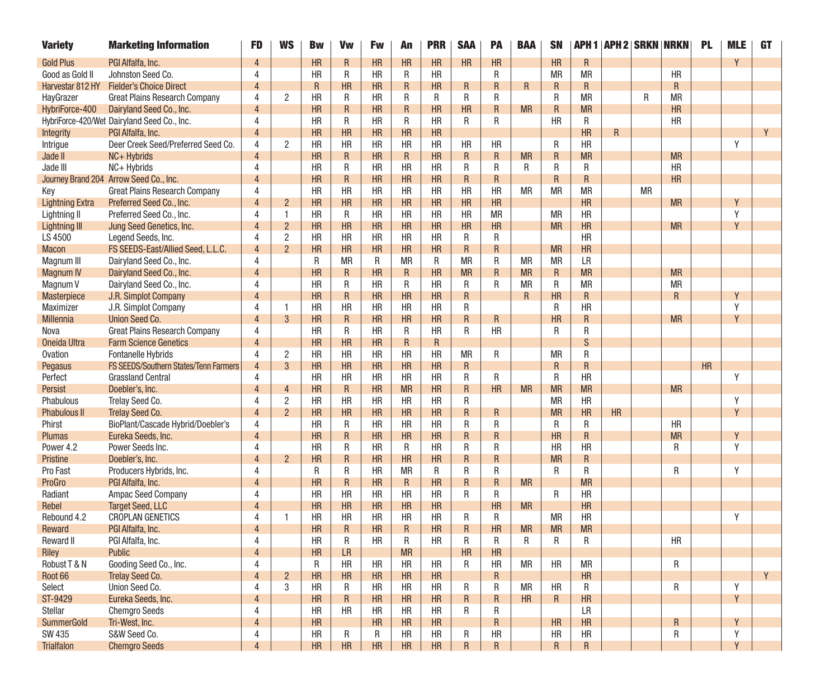| <b>Variety</b>         | <b>Marketing Information</b>                | FD                      | <b>WS</b>      | <b>Bw</b> | Vw          | Fw        | An          | <b>PRR</b> | <b>SAA</b>              | PA           | <b>BAA</b> | <b>SN</b>       |              | <b>APH 1   APH 2   SRKN   NRKN</b> |           |             | <b>PL</b> | <b>MLE</b> | <b>GT</b> |
|------------------------|---------------------------------------------|-------------------------|----------------|-----------|-------------|-----------|-------------|------------|-------------------------|--------------|------------|-----------------|--------------|------------------------------------|-----------|-------------|-----------|------------|-----------|
| <b>Gold Plus</b>       | PGI Alfalfa, Inc.                           |                         |                | HR        | R           | HR        | HR          | HR         | <b>HR</b>               | HR           |            | <b>HR</b>       | $\mathsf{R}$ |                                    |           |             |           | Y          |           |
| Good as Gold II        | Johnston Seed Co.                           | 4                       |                | <b>HR</b> | R           | <b>HR</b> | R           | <b>HR</b>  |                         | R            |            | МR              | МR           |                                    |           | <b>HR</b>   |           |            |           |
| Harvestar 812 HY       | <b>Fielder's Choice Direct</b>              | Δ                       |                | R         | <b>HR</b>   | <b>HR</b> | R           | <b>HR</b>  | R                       | R            | R          | R               | $\mathsf{R}$ |                                    |           | R           |           |            |           |
| HayGrazer              | <b>Great Plains Research Company</b>        | 4                       | $\overline{2}$ | <b>HR</b> | R           | <b>HR</b> | R           | R          | R                       | R            |            | R               | <b>MR</b>    |                                    | R         | <b>MR</b>   |           |            |           |
| HybriForce-400         | Dairyland Seed Co., Inc.                    | 4                       |                | HR        | R           | <b>HR</b> | R           | <b>HR</b>  | HR                      | R            | <b>MR</b>  | R               | <b>MR</b>    |                                    |           | <b>HR</b>   |           |            |           |
|                        | HybriForce-420/Wet Dairyland Seed Co., Inc. | Δ                       |                | <b>HR</b> | R           | <b>HR</b> | R           | <b>HR</b>  | R                       | R            |            | <b>HR</b>       | R            |                                    |           | HR          |           |            |           |
| Integrity              | PGI Alfalfa, Inc.                           | $\Delta$                |                | HR        | HR          | <b>HR</b> | <b>HR</b>   | HR         |                         |              |            |                 | <b>HR</b>    | R                                  |           |             |           |            | Y         |
| Intrigue               | Deer Creek Seed/Preferred Seed Co.          | 4                       | $\overline{2}$ | <b>HR</b> | <b>HR</b>   | <b>HR</b> | <b>HR</b>   | <b>HR</b>  | <b>HR</b>               | <b>HR</b>    |            | R               | <b>HR</b>    |                                    |           |             |           | Y          |           |
| Jade II                | NC+ Hybrids                                 | $\overline{4}$          |                | HR        | $\mathsf R$ | HR        | $\mathsf R$ | HR         | R                       | R            | <b>MR</b>  | R               | <b>MR</b>    |                                    |           | <b>MR</b>   |           |            |           |
| Jade III               | NC+ Hybrids                                 | 4                       |                | <b>HR</b> | R           | <b>HR</b> | <b>HR</b>   | <b>HR</b>  | R                       | R            | R          | R               | R            |                                    |           | <b>HR</b>   |           |            |           |
|                        | Journey Brand 204 Arrow Seed Co., Inc.      |                         |                | HR        | R           | HR        | HR          | HR         | R                       | R            |            | R               | R            |                                    |           | <b>HR</b>   |           |            |           |
| Key                    | <b>Great Plains Research Company</b>        | 4                       |                | <b>HR</b> | <b>HR</b>   | <b>HR</b> | <b>HR</b>   | HR         | <b>HR</b>               | HR           | МR         | МR              | <b>MR</b>    |                                    | <b>MR</b> |             |           |            |           |
| <b>Lightning Extra</b> | Preferred Seed Co., Inc.                    | $\overline{4}$          | $\overline{2}$ | HR        | HR          | HR        | HR          | HR         | HR                      | HR           |            |                 | HR           |                                    |           | <b>MR</b>   |           | Y          |           |
| Lightning II           | Preferred Seed Co., Inc.                    | 4                       | $\mathbf{1}$   | <b>HR</b> | R           | <b>HR</b> | <b>HR</b>   | <b>HR</b>  | <b>HR</b>               | <b>MR</b>    |            | <b>MR</b>       | <b>HR</b>    |                                    |           |             |           | Y          |           |
| Lightning III          | Jung Seed Genetics, Inc.                    |                         | $\overline{2}$ | HR        | HR          | HR        | HR          | HR         | HR                      | HR           |            | <b>MR</b>       | HR           |                                    |           | <b>MR</b>   |           | Y          |           |
| LS 4500                | Legend Seeds, Inc.                          | 4                       | $\overline{2}$ | <b>HR</b> | HR          | <b>HR</b> | <b>HR</b>   | <b>HR</b>  | R                       | R            |            |                 | HR           |                                    |           |             |           |            |           |
| <b>Macon</b>           | FS SEEDS-East/Allied Seed, L.L.C.           | $\Delta$                | $\overline{2}$ | HR        | HR          | HR        | HR          | HR         | R                       | R            |            | <b>MR</b>       | HR           |                                    |           |             |           |            |           |
| Magnum III             | Dairyland Seed Co., Inc.                    | 4                       |                | R         | <b>MR</b>   | R         | <b>MR</b>   | R          | <b>MR</b>               | R            | <b>MR</b>  | МR              | <b>LR</b>    |                                    |           |             |           |            |           |
| <b>Magnum IV</b>       | Dairyland Seed Co., Inc.                    | $\overline{\mathbf{A}}$ |                | HR        | R           | <b>HR</b> | R           | HR         | <b>MR</b>               | R            | <b>MR</b>  | R               | <b>MR</b>    |                                    |           | <b>MR</b>   |           |            |           |
| Magnum V               | Dairyland Seed Co., Inc.                    | 4                       |                | <b>HR</b> | R           | <b>HR</b> | R           | <b>HR</b>  | R                       | R            | <b>MR</b>  | R               | <b>MR</b>    |                                    |           | <b>MR</b>   |           |            |           |
| Masterpiece            | J.R. Simplot Company                        | 4                       |                | HR        | R           | HR        | <b>HR</b>   | HR         | R                       |              | R          | <b>HR</b>       | ${\sf R}$    |                                    |           | $\mathsf R$ |           | Y          |           |
| Maximizer              | J.R. Simplot Company                        | Δ                       | $\mathbf{1}$   | <b>HR</b> | <b>HR</b>   | HR        | <b>HR</b>   | <b>HR</b>  | R                       |              |            | R               | <b>HR</b>    |                                    |           |             |           | Y          |           |
| <b>Millennia</b>       | <b>Union Seed Co.</b>                       | Δ                       | 3              | HR        | R           | <b>HR</b> | <b>HR</b>   | HR         | $\sf R$                 | R            |            | <b>HR</b>       | R            |                                    |           | <b>MR</b>   |           | Y          |           |
| Nova                   | <b>Great Plains Research Company</b>        | 4                       |                | <b>HR</b> | R           | <b>HR</b> | R           | <b>HR</b>  | R                       | <b>HR</b>    |            | R               | R            |                                    |           |             |           |            |           |
| Oneida Ultra           | <b>Farm Science Genetics</b>                | $\overline{4}$          |                | HR        | HR          | HR        | R           | R          |                         |              |            |                 | S            |                                    |           |             |           |            |           |
| <b>Ovation</b>         | Fontanelle Hybrids                          | 4                       | $\overline{c}$ | <b>HR</b> | <b>HR</b>   | <b>HR</b> | <b>HR</b>   | <b>HR</b>  | <b>MR</b>               | R            |            | МR              | R            |                                    |           |             |           |            |           |
| Pegasus                | FS SEEDS/Southern States/Tenn Farmers       | $\overline{4}$          | 3              | HR        | HR          | HR        | <b>HR</b>   | HR         | R                       |              |            | R               | R            |                                    |           |             | <b>HR</b> |            |           |
| Perfect                | <b>Grassland Central</b>                    | 4                       |                | <b>HR</b> | <b>HR</b>   | <b>HR</b> | <b>HR</b>   | <b>HR</b>  | R                       | R            |            | R               | <b>HR</b>    |                                    |           |             |           | Y          |           |
| Persist                | Doebler's, Inc.                             | $\overline{4}$          | $\overline{4}$ | HR        | $\mathsf R$ | HR        | <b>MR</b>   | HR         | R                       | HR           | <b>MR</b>  | <b>MR</b>       | <b>MR</b>    |                                    |           | <b>MR</b>   |           |            |           |
| Phabulous              | Trelay Seed Co.                             | 4                       | 2              | <b>HR</b> | <b>HR</b>   | HR        | <b>HR</b>   | <b>HR</b>  | R                       |              |            | МR              | <b>HR</b>    |                                    |           |             |           | Y          |           |
| <b>Phabulous II</b>    | Trelay Seed Co.                             | 4                       | $\overline{2}$ | HR        | HR          | HR        | <b>HR</b>   | HR         | R                       | R            |            | <b>MR</b>       | <b>HR</b>    | HR                                 |           |             |           | Y          |           |
| Phirst                 | BioPlant/Cascade Hybrid/Doebler's           | 4                       |                | <b>HR</b> | R           | <b>HR</b> | <b>HR</b>   | <b>HR</b>  | R                       | R            |            | R               | R            |                                    |           | <b>HR</b>   |           |            |           |
| <b>Plumas</b>          | Eureka Seeds, Inc.                          | $\overline{4}$          |                | <b>HR</b> | R           | HR        | <b>HR</b>   | HR         | $\mathsf R$             | $\mathsf R$  |            | <b>HR</b>       | ${\sf R}$    |                                    |           | <b>MR</b>   |           | Y          |           |
| Power 4.2              | Power Seeds Inc.                            | 4                       |                | <b>HR</b> | R           | <b>HR</b> | R           | <b>HR</b>  | R                       | R            |            | <b>HR</b>       | <b>HR</b>    |                                    |           | R           |           | Y          |           |
| Pristine               | Doebler's, Inc.                             | Δ                       | $\overline{2}$ | <b>HR</b> | R.          | <b>HR</b> | <b>HR</b>   | <b>HR</b>  | $\sf R$                 | R            |            | <b>MR</b>       | R            |                                    |           |             |           |            |           |
| Pro Fast               | Producers Hybrids, Inc.                     | 4                       |                | R         | R           | <b>HR</b> | <b>MR</b>   | R          | R                       | R            |            | R               | R            |                                    |           | R           |           | Y          |           |
| ProGro                 | PGI Alfalfa, Inc.                           | 4                       |                | HR        | R           | HR        | R           | <b>HR</b>  | $\mathsf R$             | R            | <b>MR</b>  |                 | <b>MR</b>    |                                    |           |             |           |            |           |
| Radiant                | Ampac Seed Company                          | 4                       |                | <b>HR</b> | <b>HR</b>   | <b>HR</b> | <b>HR</b>   | <b>HR</b>  | R                       | R            |            | R               | <b>HR</b>    |                                    |           |             |           |            |           |
| Rebel                  | <b>Target Seed, LLC</b>                     | Δ                       |                | <b>HR</b> | HR          | <b>HR</b> | HR          | HR         |                         | <b>HR</b>    | <b>MR</b>  |                 | <b>HR</b>    |                                    |           |             |           |            |           |
| Rebound 4.2            | <b>CROPLAN GENETICS</b>                     | 4                       | 1              | <b>HR</b> | <b>HR</b>   | <b>HR</b> | <b>HR</b>   | <b>HR</b>  | R                       | R            |            | <b>MR</b>       | <b>HR</b>    |                                    |           |             |           | Y          |           |
| Reward                 | PGI Alfalfa, Inc.                           | 4                       |                | HR        | R           | <b>HR</b> | R           | <b>HR</b>  | $\mathsf R$             | <b>HR</b>    | <b>MR</b>  | <b>MR</b>       | <b>MR</b>    |                                    |           |             |           |            |           |
| Reward II              | PGI Alfalfa, Inc.                           | 4                       |                | HR        | R           | HR        | R           | HR         | R                       | R            | R          | R               | R            |                                    |           | HR          |           |            |           |
| Riley                  | Public                                      | $\overline{4}$          |                | HR        | LR          |           | <b>MR</b>   |            | HR                      | HR           |            |                 |              |                                    |           |             |           |            |           |
| Robust T & N           | Gooding Seed Co., Inc.                      | 4                       |                | R         | HR          | HR        | HR          | HR         | R                       | HR           | MR         | <b>HR</b>       | MR           |                                    |           | R           |           |            |           |
| Root 66                | <b>Trelay Seed Co.</b>                      | $\overline{4}$          | $\overline{2}$ | HR        | HR          | HR        | HR          | HR         |                         | $\mathsf R$  |            |                 | HR           |                                    |           |             |           |            | Y         |
| Select                 | Union Seed Co.                              | 4                       | 3              | HR        | R           | HR        | HR          | HR         | R                       | R            | MR         | HR              | R            |                                    |           | R           |           | Y          |           |
| ST-9429                | Eureka Seeds, Inc.                          | 4                       |                | HR        | $\mathsf R$ | HR        | HR          | HR         | $\mathsf R$             | $\mathsf R$  | HR         | $R_{\parallel}$ | HR           |                                    |           |             |           | Y          |           |
| Stellar                | <b>Chemgro Seeds</b>                        | 4                       |                | HR        | HR          | HR        | <b>HR</b>   | HR         | R                       | R            |            |                 | LR.          |                                    |           |             |           |            |           |
| <b>SummerGold</b>      | Tri-West, Inc.                              | 4                       |                | HR        |             | HR        | HR          | HR         |                         | $\mathsf{R}$ |            | HR              | HR           |                                    |           | R           |           | Y          |           |
| <b>SW 435</b>          | S&W Seed Co.                                | 4                       |                | HR        | R           | R         | HR          | HR         | R                       | HR           |            | HR              | HR           |                                    |           | R           |           | Υ          |           |
| <b>Trialfalon</b>      | <b>Chemgro Seeds</b>                        | 4                       |                | HR        | HR          | HR        | HR          | HR         | $\overline{\mathsf{R}}$ | $\mathsf R$  |            | $\mathsf R$     | R            |                                    |           |             |           | Y          |           |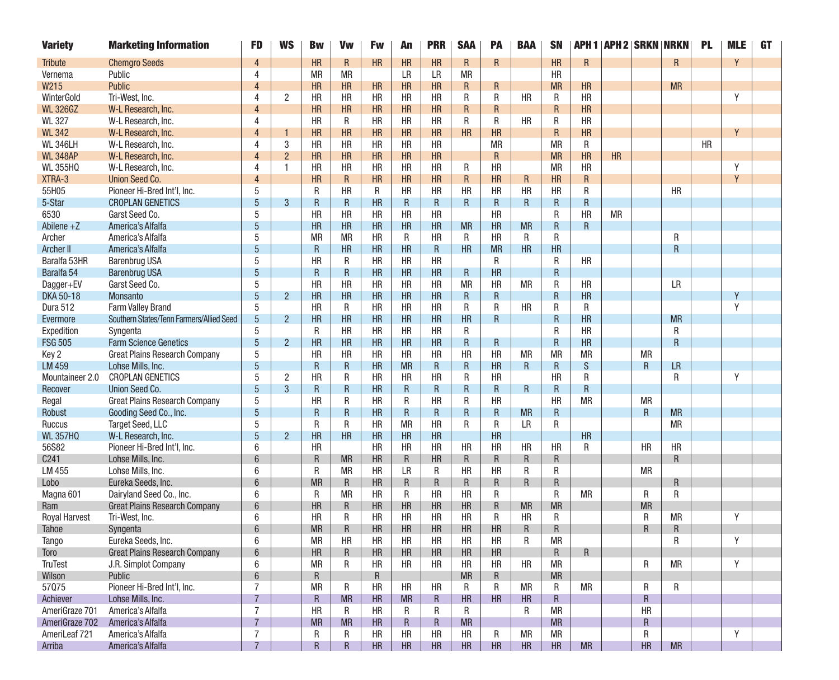| <b>Variety</b>       | <b>Marketing Information</b>             | <b>FD</b>       | <b>WS</b>      | <b>Bw</b> | Vw           | Fw         | An          | <b>PRR</b> | <b>SAA</b> | PA        | <b>BAA</b> | <b>SN</b> |           |           | <b>APH 1   APH 2   SRKN   NRKN</b> |                         | <b>PL</b> | <b>MLE</b> | <b>GT</b> |
|----------------------|------------------------------------------|-----------------|----------------|-----------|--------------|------------|-------------|------------|------------|-----------|------------|-----------|-----------|-----------|------------------------------------|-------------------------|-----------|------------|-----------|
| <b>Tribute</b>       | <b>Chemgro Seeds</b>                     | 4               |                | HR        | $\mathsf{R}$ | HR         | HR          | HR         | R          | R         |            | <b>HR</b> | R         |           |                                    | R                       |           | Y          |           |
| Vernema              | Public                                   | Δ               |                | МR        | <b>MR</b>    |            | LR          | LR         | <b>MR</b>  |           |            | <b>HR</b> |           |           |                                    |                         |           |            |           |
| W215                 | <b>Public</b>                            |                 |                | HR        | HR           | HR         | HR          | HR         | R          | R         |            | <b>MR</b> | HR        |           |                                    | <b>MR</b>               |           |            |           |
| WinterGold           | Tri-West, Inc.                           | 4               | $\overline{2}$ | <b>HR</b> | <b>HR</b>    | <b>HR</b>  | <b>HR</b>   | <b>HR</b>  | R          | R         | <b>HR</b>  | R         | <b>HR</b> |           |                                    |                         |           | γ          |           |
| <b>WL 326GZ</b>      | W-L Research, Inc.                       | 4               |                | <b>HR</b> | HR           | HR         | HR          | HR         | R          | R         |            | R         | <b>HR</b> |           |                                    |                         |           |            |           |
| <b>WL 327</b>        | W-L Research, Inc.                       | Δ               |                | <b>HR</b> | R            | <b>HR</b>  | <b>HR</b>   | <b>HR</b>  | R          | R         | HR         | R         | <b>HR</b> |           |                                    |                         |           |            |           |
| <b>WL 342</b>        | W-L Research, Inc.                       |                 |                | HR        | <b>HR</b>    | HR         | HR          | HR         | HR         | HR        |            | R         | <b>HR</b> |           |                                    |                         |           | V          |           |
| <b>WL 346LH</b>      | W-L Research, Inc.                       | 4               | 3              | <b>HR</b> | <b>HR</b>    | HR         | HR          | HR         |            | <b>MR</b> |            | <b>MR</b> | R         |           |                                    |                         | HR        |            |           |
| <b>WL 348AP</b>      | W-L Research, Inc.                       | Δ               | $\overline{2}$ | HR        | HR           | HR         | HR          | HR         |            | R         |            | <b>MR</b> | <b>HR</b> | HR        |                                    |                         |           |            |           |
| <b>WL 355HQ</b>      | W-L Research, Inc.                       | Δ               | -1             | <b>HR</b> | <b>HR</b>    | <b>HR</b>  | <b>HR</b>   | <b>HR</b>  | R          | <b>HR</b> |            | <b>MR</b> | <b>HR</b> |           |                                    |                         |           | Υ          |           |
| XTRA-3               | <b>Union Seed Co.</b>                    | $\Delta$        |                | <b>HR</b> | $\mathsf{R}$ | HR         | HR          | HR         | R          | <b>HR</b> | R          | <b>HR</b> | R         |           |                                    |                         |           | Y          |           |
| 55H05                | Pioneer Hi-Bred Int'l, Inc.              | 5               |                | R         | <b>HR</b>    | R          | <b>HR</b>   | <b>HR</b>  | <b>HR</b>  | <b>HR</b> | <b>HR</b>  | <b>HR</b> | R         |           |                                    | <b>HR</b>               |           |            |           |
| 5-Star               | <b>CROPLAN GENETICS</b>                  | 5               | 3              | R         | R            | HR         | $\mathsf R$ | R          | R          | R         | R          | R         | R         |           |                                    |                         |           |            |           |
| 6530                 | Garst Seed Co.                           | 5               |                | HR        | <b>HR</b>    | <b>HR</b>  | HR          | <b>HR</b>  |            | <b>HR</b> |            | R         | <b>HR</b> | <b>MR</b> |                                    |                         |           |            |           |
| Abilene $+Z$         | America's Alfalfa                        | 5               |                | HR        | <b>HR</b>    | <b>HR</b>  | HR          | HR         | <b>MR</b>  | <b>HR</b> | <b>MR</b>  | R         | R         |           |                                    |                         |           |            |           |
| Archer               | America's Alfalfa                        | 5               |                | <b>MR</b> | <b>MR</b>    | <b>HR</b>  | R           | <b>HR</b>  | R          | <b>HR</b> | R          | R         |           |           |                                    | R                       |           |            |           |
| <b>Archer II</b>     | America's Alfalfa                        | 5               |                | R         | HR           | HR         | HR          | R          | HR         | <b>MR</b> | HR         | <b>HR</b> |           |           |                                    | R                       |           |            |           |
| Baralfa 53HR         | <b>Barenbrug USA</b>                     | 5               |                | <b>HR</b> | R            | <b>HR</b>  | <b>HR</b>   | HR         |            | R         |            | R         | <b>HR</b> |           |                                    |                         |           |            |           |
| Baralfa 54           | <b>Barenbrug USA</b>                     | 5               |                | R         | R.           | <b>HR</b>  | HR          | HR         | R          | <b>HR</b> |            | R         |           |           |                                    |                         |           |            |           |
| Dagger+EV            | Garst Seed Co.                           | 5               |                | HR        | <b>HR</b>    | <b>HR</b>  | HR          | HR         | <b>MR</b>  | HR        | <b>MR</b>  | R         | <b>HR</b> |           |                                    | LR                      |           |            |           |
| DKA 50-18            | Monsanto                                 | 5               | $\overline{2}$ | HR        | <b>HR</b>    | HR         | HR          | HR         | R          | R         |            | R         | <b>HR</b> |           |                                    |                         |           | V          |           |
| Dura 512             | Farm Valley Brand                        | 5               |                | <b>HR</b> | R            | <b>HR</b>  | HR          | <b>HR</b>  | R          | R         | <b>HR</b>  | R         | R         |           |                                    |                         |           | Υ          |           |
| Evermore             | Southern States/Tenn Farmers/Allied Seed | 5               | $\overline{2}$ | HR        | <b>HR</b>    | <b>HR</b>  | HR          | HR         | HR         | R         |            | R         | <b>HR</b> |           |                                    | <b>MR</b>               |           |            |           |
| Expedition           | Syngenta                                 | 5               |                | R         | <b>HR</b>    | <b>HR</b>  | HR          | HR         | R          |           |            | R         | <b>HR</b> |           |                                    | R                       |           |            |           |
| <b>FSG 505</b>       | <b>Farm Science Genetics</b>             | 5               | $\overline{2}$ | HR        | <b>HR</b>    | HR         | HR          | HR         | R          | R         |            | R         | <b>HR</b> |           |                                    | $\overline{\mathsf{R}}$ |           |            |           |
| Key 2                | <b>Great Plains Research Company</b>     | 5               |                | <b>HR</b> | <b>HR</b>    | <b>HR</b>  | <b>HR</b>   | <b>HR</b>  | HR         | <b>HR</b> | <b>MR</b>  | <b>MR</b> | <b>MR</b> |           | <b>MR</b>                          |                         |           |            |           |
| <b>LM 459</b>        | Lohse Mills, Inc.                        | 5               |                | R         | R.           | <b>HR</b>  | <b>MR</b>   | R          | R          | <b>HR</b> | R          | R         | S         |           | R                                  | <b>LR</b>               |           |            |           |
| Mountaineer 2.0      | <b>CROPLAN GENETICS</b>                  | 5               | $\overline{2}$ | HR        | R            | <b>HR</b>  | <b>HR</b>   | <b>HR</b>  | R          | <b>HR</b> |            | HR        | R         |           |                                    | R                       |           | Y          |           |
| Recover              | Union Seed Co.                           | 5               | 3              | R         | $\mathsf{R}$ | <b>HR</b>  | R           | R          | R          | R         | R          | R         | R         |           |                                    |                         |           |            |           |
| Regal                | <b>Great Plains Research Company</b>     | 5               |                | <b>HR</b> | R            | <b>HR</b>  | R           | <b>HR</b>  | R          | <b>HR</b> |            | HR        | <b>MR</b> |           | <b>MR</b>                          |                         |           |            |           |
| Robust               | Gooding Seed Co., Inc.                   | 5               |                | R         | R            | <b>HR</b>  | R           | R          | R          | R         | <b>MR</b>  | R         |           |           | $\mathsf{R}$                       | <b>MR</b>               |           |            |           |
| Ruccus               | <b>Target Seed, LLC</b>                  | 5               |                | R         | R            | <b>HR</b>  | <b>MR</b>   | <b>HR</b>  | R          | R         | LR.        | R         |           |           |                                    | <b>MR</b>               |           |            |           |
| <b>WL 357HQ</b>      | W-L Research, Inc.                       | 5               | $\overline{2}$ | HR        | <b>HR</b>    | <b>HR</b>  | HR          | HR         |            | <b>HR</b> |            |           | HR        |           |                                    |                         |           |            |           |
| 56S82                | Pioneer Hi-Bred Int'l, Inc.              | 6               |                | <b>HR</b> |              | <b>HR</b>  | <b>HR</b>   | <b>HR</b>  | HR         | <b>HR</b> | <b>HR</b>  | HR        | R         |           | HR                                 | HR                      |           |            |           |
| C <sub>241</sub>     | Lohse Mills, Inc.                        | 6               |                | R         | <b>MR</b>    | HR         | R           | <b>HR</b>  | R          | R         | R          | R         |           |           |                                    | R                       |           |            |           |
| LM 455               | Lohse Mills, Inc.                        | 6               |                | R         | <b>MR</b>    | HR         | LR          | R          | <b>HR</b>  | <b>HR</b> | R          | R         |           |           | <b>MR</b>                          |                         |           |            |           |
| Lobo                 | Eureka Seeds, Inc.                       | $6\overline{6}$ |                | <b>MR</b> | R            | HR         | R           | R          | R          | R         | R          | R         |           |           |                                    | R                       |           |            |           |
| Magna 601            | Dairyland Seed Co., Inc.                 | 6               |                | R         | <b>MR</b>    | <b>HR</b>  | R           | <b>HR</b>  | <b>HR</b>  | R         |            | R         | <b>MR</b> |           | R                                  | R                       |           |            |           |
| Ram                  | <b>Great Plains Research Company</b>     |                 |                | HR        | R            | HR         | HR          | HR         | HR         | R         | <b>MR</b>  | <b>MR</b> |           |           | <b>MR</b>                          |                         |           |            |           |
| <b>Royal Harvest</b> | Tri-West, Inc.                           | 6               |                | <b>HR</b> | R            | <b>HR</b>  | HR          | <b>HR</b>  | <b>HR</b>  | R         | <b>HR</b>  | R         |           |           | R                                  | <b>MR</b>               |           | Y          |           |
| <b>Tahoe</b>         | Syngenta                                 | 6               |                | <b>MR</b> | R            | HR         | HR          | HR         | HR         | HR        | R          | R         |           |           | R                                  | R                       |           |            |           |
| <b>Tango</b>         | Eureka Seeds, Inc.                       | 6               |                | <b>MR</b> | HR           | HR         | HR          | HR         | HR         | HR        | R          | MR        |           |           |                                    | R                       |           |            |           |
| Toro                 | <b>Great Plains Research Company</b>     | $6\phantom{1}$  |                | HR        | $\mathsf{R}$ | ${\sf HR}$ | HR          | HR         | HR         | HR        |            | R         | R         |           |                                    |                         |           |            |           |
| TruTest              | J.R. Simplot Company                     | 6               |                | <b>MR</b> | R            | HR         | <b>HR</b>   | <b>HR</b>  | <b>HR</b>  | HR        | HR         | MR        |           |           | R                                  | <b>MR</b>               |           | Y          |           |
| Wilson               | Public                                   | $6\,$           |                | R         |              | ${\sf R}$  |             |            | MR         | ${\sf R}$ |            | <b>MR</b> |           |           |                                    |                         |           |            |           |
| 57075                | Pioneer Hi-Bred Int'l, Inc.              | 7               |                | МR        | R            | HR         | HR          | HR         | R          | R         | <b>MR</b>  | R         | MR        |           | R                                  | R                       |           |            |           |
| Achiever             | Lohse Mills, Inc.                        | $\overline{7}$  |                | R         | <b>MR</b>    | HR         | <b>MR</b>   | R          | HR         | HR        | HR         | R         |           |           | ${\sf R}$                          |                         |           |            |           |
| AmeriGraze 701       | America's Alfalfa                        | 7               |                | <b>HR</b> | R            | <b>HR</b>  | R           | R          | R          |           | R          | <b>MR</b> |           |           | <b>HR</b>                          |                         |           |            |           |
| AmeriGraze 702       | America's Alfalfa                        | $\overline{7}$  |                | <b>MR</b> | <b>MR</b>    | HR         | R           | R          | MR         |           |            | <b>MR</b> |           |           | R                                  |                         |           |            |           |
| AmeriLeaf 721        | America's Alfalfa                        | 7               |                | R         | R            | HR         | HR          | HR         | HR         | R         | MR         | MR        |           |           | R                                  |                         |           | Υ          |           |
| Arriba               | America's Alfalfa                        | $\overline{7}$  |                | R.        | R            | HR         | HR          | HR         | HR         | HR        | HR         | HR        | <b>MR</b> |           | HR                                 | <b>MR</b>               |           |            |           |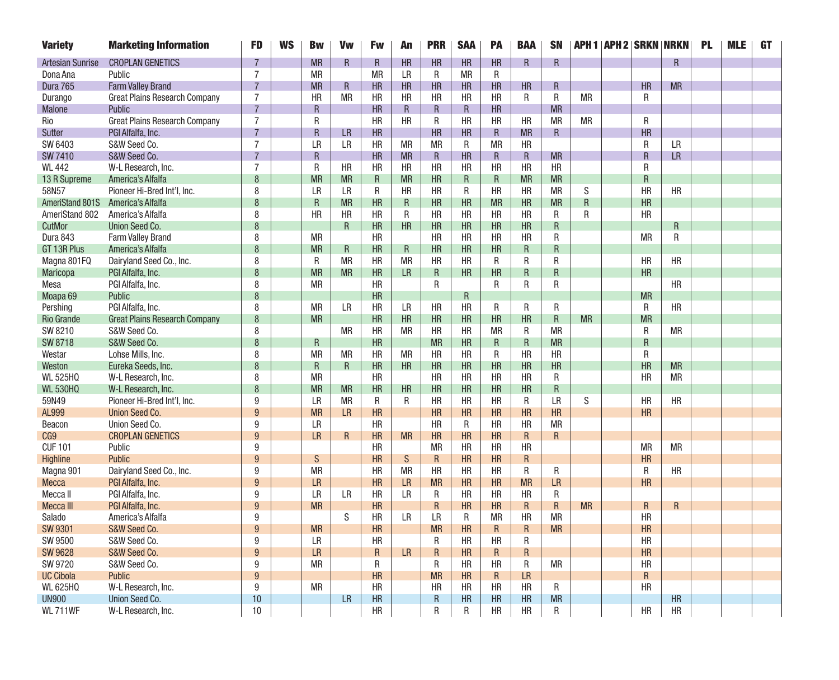| <b>Variety</b>                      | <b>Marketing Information</b>         | <b>FD</b>      | <b>WS</b> | <b>Bw</b>                 | <b>Vw</b>   | <b>Fw</b>       | An           | <b>PRR</b>  | <b>SAA</b> | <b>PA</b> | <b>BAA</b>      | <b>SN</b>      |                |           | <b>APH 1   APH 2   SRKN   NRKN  </b> | <b>PL</b> | <b>MLE</b> | GT |
|-------------------------------------|--------------------------------------|----------------|-----------|---------------------------|-------------|-----------------|--------------|-------------|------------|-----------|-----------------|----------------|----------------|-----------|--------------------------------------|-----------|------------|----|
| <b>Artesian Sunrise</b>             | <b>CROPLAN GENETICS</b>              |                |           | <b>MR</b>                 | R           | $\mathsf R$     | <b>HR</b>    | HR          | HR         | HR        | R               | R              |                |           | $\overline{R}$                       |           |            |    |
| Dona Ana                            | Public                               | $\overline{7}$ |           | <b>MR</b>                 |             | <b>MR</b>       | <b>LR</b>    | R           | <b>MR</b>  | R         |                 |                |                |           |                                      |           |            |    |
| Dura 765                            | <b>Farm Valley Brand</b>             | $\overline{7}$ |           | <b>MR</b>                 | $\mathsf R$ | HR              | HR           | HR          | HR         | HR        | HR              | R              |                | <b>HR</b> | <b>MR</b>                            |           |            |    |
| Durango                             | <b>Great Plains Research Company</b> | $\overline{7}$ |           | <b>HR</b>                 | <b>MR</b>   | <b>HR</b>       | <b>HR</b>    | <b>HR</b>   | <b>HR</b>  | <b>HR</b> | R               | R              | <b>MR</b>      | R         |                                      |           |            |    |
| <b>Malone</b>                       | Public                               | $\overline{7}$ |           | R.                        |             | HR              | $\mathsf{R}$ | R           | R          | HR        |                 | <b>MR</b>      |                |           |                                      |           |            |    |
| Rio                                 | <b>Great Plains Research Company</b> | $\overline{7}$ |           | R                         |             | <b>HR</b>       | <b>HR</b>    | R           | <b>HR</b>  | <b>HR</b> | <b>HR</b>       | <b>MR</b>      | <b>MR</b>      | R         |                                      |           |            |    |
| <b>Sutter</b>                       | PGI Alfalfa, Inc.                    | $\overline{7}$ |           | R.                        | <b>LR</b>   | HR              |              | HR          | <b>HR</b>  | R         | <b>MR</b>       | $\mathsf{R}$   |                | <b>HR</b> |                                      |           |            |    |
| SW 6403                             | S&W Seed Co.                         | $\overline{7}$ |           | LR                        | <b>LR</b>   | <b>HR</b>       | <b>MR</b>    | <b>MR</b>   | R          | <b>MR</b> | HR              |                |                | R         | <b>LR</b>                            |           |            |    |
| <b>SW 7410</b>                      | S&W Seed Co.                         | $\overline{7}$ |           | R.                        |             | <b>HR</b>       | <b>MR</b>    | $\mathsf R$ | HR         | R         | R               | <b>MR</b>      |                | $\sf R$   | <b>LR</b>                            |           |            |    |
| <b>WL 442</b>                       | W-L Research, Inc.                   | $\overline{7}$ |           | ${\sf R}$                 | <b>HR</b>   | HR              | <b>HR</b>    | <b>HR</b>   | HR         | HR        | HR              | <b>HR</b>      |                | R         |                                      |           |            |    |
| 13 R Supreme                        | America's Alfalfa                    | 8              |           | <b>MR</b>                 | <b>MR</b>   | R               | <b>MR</b>    | HR          | R          | R         | <b>MR</b>       | <b>MR</b>      |                | R         |                                      |           |            |    |
| 58N57                               | Pioneer Hi-Bred Int'l, Inc.          | 8              |           | $\overline{\mathsf{I}}$ R | <b>LR</b>   | R               | <b>HR</b>    | <b>HR</b>   | R          | <b>HR</b> | <b>HR</b>       | <b>MR</b>      | S              | HR        | <b>HR</b>                            |           |            |    |
| AmeriStand 801S                     | America's Alfalfa                    | 8              |           | R                         | <b>MR</b>   | <b>HR</b>       | R            | HR          | HR         | <b>MR</b> | HR              | <b>MR</b>      | $\overline{R}$ | HR        |                                      |           |            |    |
| AmeriStand 802                      | America's Alfalfa                    | 8              |           | <b>HR</b>                 | <b>HR</b>   | <b>HR</b>       | R            | <b>HR</b>   | <b>HR</b>  | <b>HR</b> | <b>HR</b>       | R              | R              | <b>HR</b> |                                      |           |            |    |
| CutMor                              | Union Seed Co.                       | 8              |           |                           | R.          | HR              | <b>HR</b>    | HR          | HR         | HR        | HR              | R              |                |           | R                                    |           |            |    |
| Dura 843                            | <b>Farm Valley Brand</b>             | 8              |           | <b>MR</b>                 |             | HR              |              | <b>HR</b>   | HR         | HR        | HR              | R              |                | <b>MR</b> | R                                    |           |            |    |
| GT 13R Plus                         | America's Alfalfa                    | 8              |           | <b>MR</b>                 | R           | <b>HR</b>       | $\mathsf R$  | HR          | HR         | <b>HR</b> | R               | R              |                |           |                                      |           |            |    |
| Magna 801FQ                         | Dairyland Seed Co., Inc.             | 8              |           | R                         | <b>MR</b>   | HR              | <b>MR</b>    | <b>HR</b>   | <b>HR</b>  | R         | R               | R              |                | HR        | HR                                   |           |            |    |
| Maricopa                            | PGI Alfalfa, Inc.                    | 8              |           | <b>MR</b>                 | <b>MR</b>   | <b>HR</b>       | LR.          | R           | <b>HR</b>  | <b>HR</b> | R               | R              |                | <b>HR</b> |                                      |           |            |    |
| Mesa                                | PGI Alfalfa, Inc.                    | 8              |           | <b>MR</b>                 |             | HR              |              | R           |            | R         | R               | ${\sf R}$      |                |           | <b>HR</b>                            |           |            |    |
| Moapa <sub>69</sub>                 | Public                               | 8              |           |                           |             | HR              |              |             | R          |           |                 |                |                | <b>MR</b> |                                      |           |            |    |
| Pershing                            | PGI Alfalfa, Inc.                    | 8              |           | <b>MR</b>                 | <b>LR</b>   | HR              | <b>LR</b>    | HR          | <b>HR</b>  | R         | R               | R              |                | R         | <b>HR</b>                            |           |            |    |
| <b>Rio Grande</b>                   | <b>Great Plains Research Company</b> | 8              |           | <b>MR</b>                 |             | <b>HR</b>       | <b>HR</b>    | HR          | HR         | HR        | HR              | $\mathsf{R}$   | <b>MR</b>      | <b>MR</b> |                                      |           |            |    |
| SW 8210                             | S&W Seed Co.                         | 8              |           |                           | <b>MR</b>   | <b>HR</b>       | <b>MR</b>    | <b>HR</b>   | <b>HR</b>  | <b>MR</b> | R               | <b>MR</b>      |                | R         | <b>MR</b>                            |           |            |    |
| <b>SW 8718</b>                      | S&W Seed Co.                         | 8              |           | R                         |             | <b>HR</b>       |              | <b>MR</b>   | <b>HR</b>  | R         | R               | <b>MR</b>      |                | R         |                                      |           |            |    |
| Westar                              | Lohse Mills, Inc.                    | 8              |           | <b>MR</b>                 | <b>MR</b>   | <b>HR</b>       | <b>MR</b>    | <b>HR</b>   | <b>HR</b>  | R         | HR              | <b>HR</b>      |                | R         |                                      |           |            |    |
| Weston                              | Eureka Seeds, Inc.                   | 8              |           | R                         | R           | HR              | <b>HR</b>    | <b>HR</b>   | <b>HR</b>  | HR        | HR              | HR             |                | <b>HR</b> | <b>MR</b>                            |           |            |    |
| <b>WL 525HQ</b>                     | W-L Research, Inc.                   | 8              |           | <b>MR</b>                 |             | <b>HR</b>       |              | <b>HR</b>   | <b>HR</b>  | <b>HR</b> | <b>HR</b>       | R              |                | <b>HR</b> | <b>MR</b>                            |           |            |    |
| <b>WL 530HQ</b>                     | W-L Research, Inc.                   | 8              |           | <b>MR</b>                 | <b>MR</b>   | HR              | HR           | HR          | <b>HR</b>  | <b>HR</b> | HR              | ${\sf R}$      |                |           |                                      |           |            |    |
| 59N49                               | Pioneer Hi-Bred Int'l, Inc.          | 9              |           | LR                        | <b>MR</b>   | R               | R            | <b>HR</b>   | <b>HR</b>  | <b>HR</b> | R               | <b>LR</b>      | S              | <b>HR</b> | <b>HR</b>                            |           |            |    |
| AL999                               | <b>Union Seed Co.</b>                | 9              |           | <b>MR</b>                 | <b>LR</b>   | <b>HR</b>       |              | <b>HR</b>   | <b>HR</b>  | <b>HR</b> | <b>HR</b>       | <b>HR</b>      |                | <b>HR</b> |                                      |           |            |    |
| Beacon                              | Union Seed Co.                       | 9              |           | LR                        |             | <b>HR</b>       |              | <b>HR</b>   | R          | <b>HR</b> | <b>HR</b>       | <b>MR</b>      |                |           |                                      |           |            |    |
| CG9                                 | <b>CROPLAN GENETICS</b>              | 9              |           | <b>LR</b>                 | R           | <b>HR</b>       | <b>MR</b>    | HR          | HR         | <b>HR</b> | R               | $\overline{R}$ |                |           |                                      |           |            |    |
| <b>CUF101</b>                       | Public                               | 9              |           |                           |             | <b>HR</b>       |              | <b>MR</b>   | <b>HR</b>  | <b>HR</b> | HR              |                |                | <b>MR</b> | <b>MR</b>                            |           |            |    |
| Highline                            | <b>Public</b>                        | 9              |           | S                         |             | <b>HR</b>       | ${\sf S}$    | $\mathsf R$ | <b>HR</b>  | HR        | R               |                |                | <b>HR</b> |                                      |           |            |    |
| Magna 901                           | Dairyland Seed Co., Inc.             | 9              |           | <b>MR</b>                 |             | <b>HR</b>       | <b>MR</b>    | <b>HR</b>   | <b>HR</b>  | <b>HR</b> | R               | R              |                | R         | <b>HR</b>                            |           |            |    |
| Mecca                               | PGI Alfalfa, Inc.                    | 9              |           | <b>LR</b>                 |             | <b>HR</b>       | LR.          | <b>MR</b>   | <b>HR</b>  | <b>HR</b> | <b>MR</b>       | LR             |                | HR        |                                      |           |            |    |
| Mecca II                            | PGI Alfalfa, Inc.                    | 9              |           | <b>LR</b>                 | <b>LR</b>   | <b>HR</b>       | LR.          | R           | <b>HR</b>  | <b>HR</b> | <b>HR</b>       | R              |                |           |                                      |           |            |    |
| Mecca III                           | PGI Alfalfa, Inc.                    | 9              |           | <b>MR</b>                 |             | <b>HR</b>       |              | R           | <b>HR</b>  | <b>HR</b> | R               | $\overline{R}$ | <b>MR</b>      | R         | R                                    |           |            |    |
| Salado                              | America's Alfalfa                    | 9              |           |                           | S           | <b>HR</b>       | <b>LR</b>    | LR.         | R          | <b>MR</b> | <b>HR</b>       | <b>MR</b>      |                | <b>HR</b> |                                      |           |            |    |
| <b>SW 9301</b><br>SW 9500           | S&W Seed Co.                         | 9<br>9         |           | <b>MR</b><br><b>LR</b>    |             | <b>HR</b>       |              | <b>MR</b>   | <b>HR</b>  | R         | R               | <b>MR</b>      |                | <b>HR</b> |                                      |           |            |    |
|                                     | S&W Seed Co.                         |                |           |                           |             | HR              |              | R           | <b>HR</b>  | HR        | R               |                |                | HR        |                                      |           |            |    |
| <b>SW 9628</b>                      | S&W Seed Co.                         | 9              |           | <b>LR</b>                 |             | $\mathsf R$     | <b>LR</b>    | R           | HR         | R         | R               |                |                | <b>HR</b> |                                      |           |            |    |
| SW 9720                             | S&W Seed Co.                         | 9              |           | <b>MR</b>                 |             | R               |              | R           | <b>HR</b>  | HR        | R               | <b>MR</b>      |                | HR        |                                      |           |            |    |
| <b>UC Cibola</b><br><b>WL 625HQ</b> | <b>Public</b>                        | 9              |           | <b>MR</b>                 |             | <b>HR</b><br>HR |              | <b>MR</b>   | HR         | R         | LR<br><b>HR</b> |                |                | $\sf R$   |                                      |           |            |    |
|                                     | W-L Research, Inc.                   | 9              |           |                           |             | <b>HR</b>       |              | HR          | HR<br>HR   | HR<br>HR  | HR              | R              |                | HR        |                                      |           |            |    |
| <b>UN900</b>                        | Union Seed Co.                       | 10             |           |                           | LR          |                 |              | R           |            |           |                 | <b>MR</b>      |                | HR        | <b>HR</b>                            |           |            |    |
| <b>WL 711WF</b>                     | W-L Research, Inc.                   | 10             |           |                           |             | <b>HR</b>       |              | R           | R          | <b>HR</b> | <b>HR</b>       | R              |                |           | <b>HR</b>                            |           |            |    |